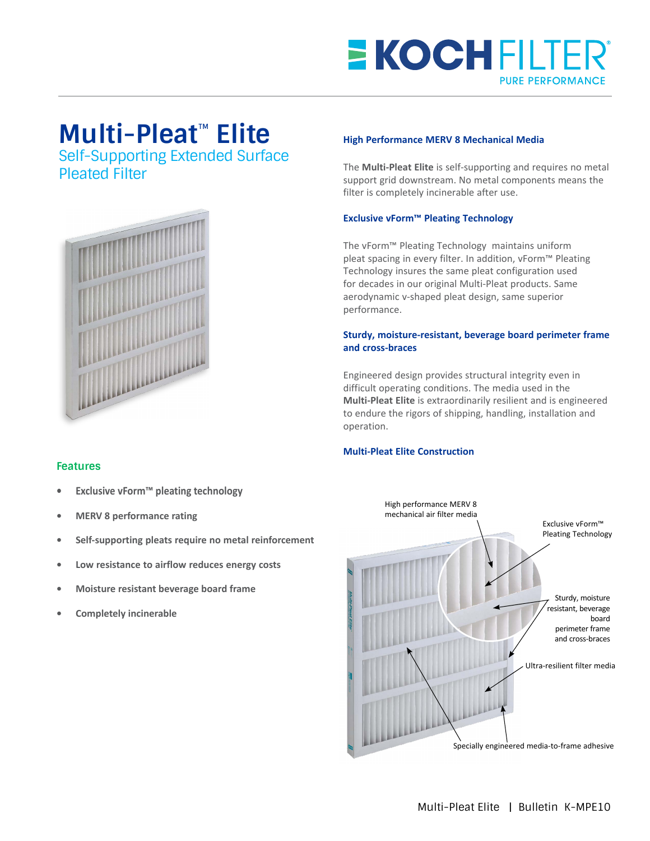## **E KOCHFILTER PURE PERFORMANCE**

# **Multi-Pleat**™ **Elite**

Self-Supporting Extended Surface Pleated Filter



#### **High Performance MERV 8 Mechanical Media**

The **Multi-Pleat Elite** is self-supporting and requires no metal support grid downstream. No metal components means the filter is completely incinerable after use.

#### **Exclusive vForm™ Pleating Technology**

The vForm™ Pleating Technology maintains uniform pleat spacing in every filter. In addition, vForm™ Pleating Technology insures the same pleat configuration used for decades in our original Multi-Pleat products. Same aerodynamic v-shaped pleat design, same superior performance.

#### **Sturdy, moisture-resistant, beverage board perimeter frame and cross-braces**

Engineered design provides structural integrity even in difficult operating conditions. The media used in the **Multi-Pleat Elite** is extraordinarily resilient and is engineered to endure the rigors of shipping, handling, installation and operation.

#### **Multi-Pleat Elite Construction**



### **Features**

- **• Exclusive vForm™ pleating technology**
- **• MERV 8 performance rating**
- **• Self-supporting pleats require no metal reinforcement**
- **• Low resistance to airflow reduces energy costs**
- **• Moisture resistant beverage board frame**
- **• Completely incinerable**